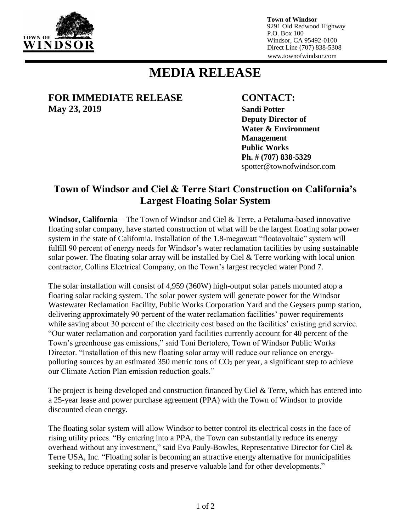

**Town of Windsor** 9291 Old Redwood Highway P.O. Box 100 Windsor, CA 95492-0100 Direct Line (707) 838-5308 www.townofwindsor.com

## **MEDIA RELEASE**

## **FOR IMMEDIATE RELEASE CONTACT: May 23, 2019 Sandi Potter**

**Deputy Director of Water & Environment Management Public Works Ph. # (707) 838-5329** spotter@townofwindsor.com

## **Town of Windsor and Ciel & Terre Start Construction on California's Largest Floating Solar System**

**Windsor, California** – The Town of Windsor and Ciel & Terre, a Petaluma-based innovative floating solar company, have started construction of what will be the largest floating solar power system in the state of California. Installation of the 1.8-megawatt "floatovoltaic" system will fulfill 90 percent of energy needs for Windsor's water reclamation facilities by using sustainable solar power. The floating solar array will be installed by Ciel & Terre working with local union contractor, Collins Electrical Company, on the Town's largest recycled water Pond 7.

The solar installation will consist of 4,959 (360W) high-output solar panels mounted atop a floating solar racking system. The solar power system will generate power for the Windsor Wastewater Reclamation Facility, Public Works Corporation Yard and the Geysers pump station, delivering approximately 90 percent of the water reclamation facilities' power requirements while saving about 30 percent of the electricity cost based on the facilities' existing grid service. "Our water reclamation and corporation yard facilities currently account for 40 percent of the Town's greenhouse gas emissions," said Toni Bertolero, Town of Windsor Public Works Director. "Installation of this new floating solar array will reduce our reliance on energypolluting sources by an estimated 350 metric tons of  $CO<sub>2</sub>$  per year, a significant step to achieve our Climate Action Plan emission reduction goals."

The project is being developed and construction financed by Ciel & Terre, which has entered into a 25-year lease and power purchase agreement (PPA) with the Town of Windsor to provide discounted clean energy.

The floating solar system will allow Windsor to better control its electrical costs in the face of rising utility prices. "By entering into a PPA, the Town can substantially reduce its energy overhead without any investment," said Eva Pauly-Bowles, Representative Director for Ciel & Terre USA, Inc. "Floating solar is becoming an attractive energy alternative for municipalities seeking to reduce operating costs and preserve valuable land for other developments."